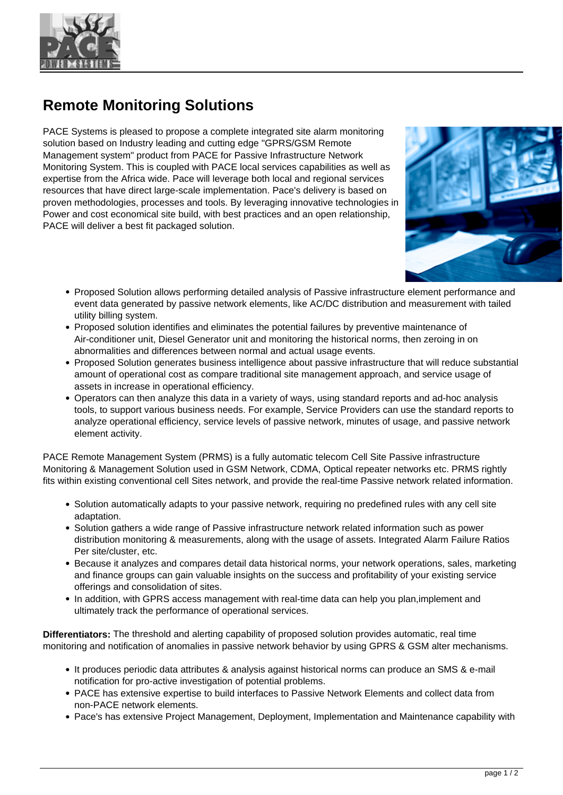

## **Remote Monitoring Solutions**

PACE Systems is pleased to propose a complete integrated site alarm monitoring solution based on Industry leading and cutting edge "GPRS/GSM Remote Management system" product from PACE for Passive Infrastructure Network Monitoring System. This is coupled with PACE local services capabilities as well as expertise from the Africa wide. Pace will leverage both local and regional services resources that have direct large-scale implementation. Pace's delivery is based on proven methodologies, processes and tools. By leveraging innovative technologies in Power and cost economical site build, with best practices and an open relationship, PACE will deliver a best fit packaged solution.



- Proposed Solution allows performing detailed analysis of Passive infrastructure element performance and event data generated by passive network elements, like AC/DC distribution and measurement with tailed utility billing system.
- Proposed solution identifies and eliminates the potential failures by preventive maintenance of Air-conditioner unit, Diesel Generator unit and monitoring the historical norms, then zeroing in on abnormalities and differences between normal and actual usage events.
- Proposed Solution generates business intelligence about passive infrastructure that will reduce substantial amount of operational cost as compare traditional site management approach, and service usage of assets in increase in operational efficiency.
- Operators can then analyze this data in a variety of ways, using standard reports and ad-hoc analysis tools, to support various business needs. For example, Service Providers can use the standard reports to analyze operational efficiency, service levels of passive network, minutes of usage, and passive network element activity.

PACE Remote Management System (PRMS) is a fully automatic telecom Cell Site Passive infrastructure Monitoring & Management Solution used in GSM Network, CDMA, Optical repeater networks etc. PRMS rightly fits within existing conventional cell Sites network, and provide the real-time Passive network related information.

- Solution automatically adapts to your passive network, requiring no predefined rules with any cell site adaptation.
- Solution gathers a wide range of Passive infrastructure network related information such as power distribution monitoring & measurements, along with the usage of assets. Integrated Alarm Failure Ratios Per site/cluster, etc.
- Because it analyzes and compares detail data historical norms, your network operations, sales, marketing and finance groups can gain valuable insights on the success and profitability of your existing service offerings and consolidation of sites.
- In addition, with GPRS access management with real-time data can help you plan, implement and ultimately track the performance of operational services.

**Differentiators:** The threshold and alerting capability of proposed solution provides automatic, real time monitoring and notification of anomalies in passive network behavior by using GPRS & GSM alter mechanisms.

- It produces periodic data attributes & analysis against historical norms can produce an SMS & e-mail notification for pro-active investigation of potential problems.
- PACE has extensive expertise to build interfaces to Passive Network Elements and collect data from non-PACE network elements.
- Pace's has extensive Project Management, Deployment, Implementation and Maintenance capability with